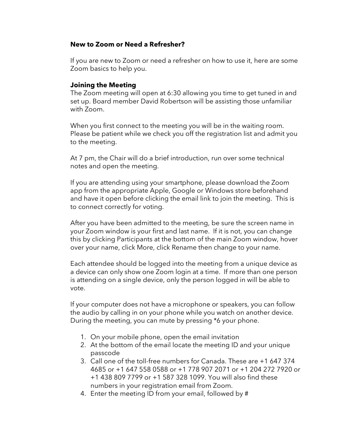## **New to Zoom or Need a Refresher?**

If you are new to Zoom or need a refresher on how to use it, here are some Zoom basics to help you.

## **Joining the Meeting**

The Zoom meeting will open at 6:30 allowing you time to get tuned in and set up. Board member David Robertson will be assisting those unfamiliar with Zoom.

When you first connect to the meeting you will be in the waiting room. Please be patient while we check you off the registration list and admit you to the meeting.

At 7 pm, the Chair will do a brief introduction, run over some technical notes and open the meeting.

If you are attending using your smartphone, please download the Zoom app from the appropriate Apple, Google or Windows store beforehand and have it open before clicking the email link to join the meeting. This is to connect correctly for voting.

After you have been admitted to the meeting, be sure the screen name in your Zoom window is your first and last name. If it is not, you can change this by clicking Participants at the bottom of the main Zoom window, hover over your name, click More, click Rename then change to your name.

Each attendee should be logged into the meeting from a unique device as a device can only show one Zoom login at a time. If more than one person is attending on a single device, only the person logged in will be able to vote.

If your computer does not have a microphone or speakers, you can follow the audio by calling in on your phone while you watch on another device. During the meeting, you can mute by pressing \*6 your phone.

- 1. On your mobile phone, open the email invitation
- 2. At the bottom of the email locate the meeting ID and your unique passcode
- 3. Call one of the toll-free numbers for Canada. These are +1 647 374 4685 or +1 647 558 0588 or +1 778 907 2071 or +1 204 272 7920 or +1 438 809 7799 or +1 587 328 1099. You will also find these numbers in your registration email from Zoom.
- 4. Enter the meeting ID from your email, followed by #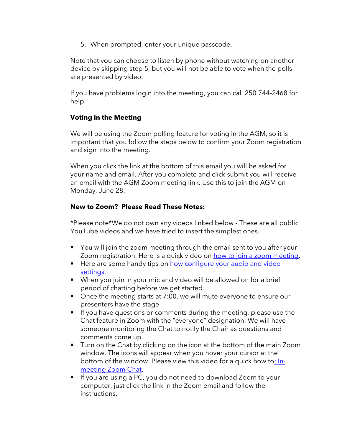5. When prompted, enter your unique passcode.

Note that you can choose to listen by phone without watching on another device by skipping step 5, but you will not be able to vote when the polls are presented by video.

If you have problems login into the meeting, you can call 250 744-2468 for help.

## **Voting in the Meeting**

We will be using the Zoom polling feature for voting in the AGM, so it is important that you follow the steps below to confirm your Zoom registration and sign into the meeting.

When you click the link at the bottom of this email you will be asked for your name and email. After you complete and click submit you will receive an email with the AGM Zoom meeting link. Use this to join the AGM on Monday, June 28.

## **New to Zoom? Please Read These Notes:**

\*Please note\*We do not own any videos linked below - These are all public YouTube videos and we have tried to insert the simplest ones.

- You will join the zoom meeting through the email sent to you after your Zoom registration. Here is a quick video on [how to join a zoom meeting.](https://www.youtube.com/watch?v=pAMDxH_H_Cs)
- Here are some handy tips on how configure your audio and video [settings.](https://www.youtube.com/watch?v=ugda61PyFIo)
- When you join in your mic and video will be allowed on for a brief period of chatting before we get started.
- Once the meeting starts at 7:00, we will mute everyone to ensure our presenters have the stage.
- If you have questions or comments during the meeting, please use the Chat feature in Zoom with the "everyone" designation. We will have someone monitoring the Chat to notify the Chair as questions and comments come up.
- Turn on the Chat by clicking on the icon at the bottom of the main Zoom window. The icons will appear when you hover your cursor at the bottom of the window. Please view this video for a quick how t[o: In](https://nam10.safelinks.protection.outlook.com/?url=https%3A%2F%2Fyoutu.be%2FLNnUqWJMxJU&data=02%7C01%7C%7C573bdf55078f4015590908d81eab0271%7C84df9e7fe9f640afb435aaaaaaaaaaaa%7C1%7C0%7C637293067107606588&sdata=oX73A5rvJQBYJiI%2F5v5Vte3nsii9Tsjrno5lDwTMN7Q%3D&reserved=0)[meeting Zoom Chat.](https://nam10.safelinks.protection.outlook.com/?url=https%3A%2F%2Fyoutu.be%2FLNnUqWJMxJU&data=02%7C01%7C%7C573bdf55078f4015590908d81eab0271%7C84df9e7fe9f640afb435aaaaaaaaaaaa%7C1%7C0%7C637293067107606588&sdata=oX73A5rvJQBYJiI%2F5v5Vte3nsii9Tsjrno5lDwTMN7Q%3D&reserved=0)
- If you are using a PC, you do not need to download Zoom to your computer, just click the link in the Zoom email and follow the instructions.